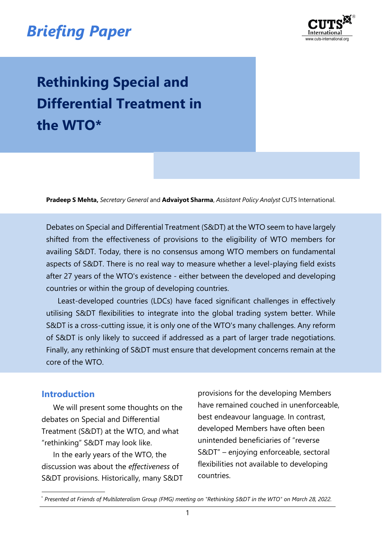## **Briefing Paper** With the *Secure of International*



## **Rethinking Special and Differential Treatment in the WTO\***

**Pradeep S Mehta,** *Secretary General* and **Advaiyot Sharma**, *Assistant Policy Analyst* CUTS International.

Debates on Special and Differential Treatment (S&DT) at the WTO seem to have largely shifted from the effectiveness of provisions to the eligibility of WTO members for availing S&DT. Today, there is no consensus among WTO members on fundamental aspects of S&DT. There is no real way to measure whether a level-playing field exists after 27 years of the WTO's existence - either between the developed and developing countries or within the group of developing countries.

Least-developed countries (LDCs) have faced significant challenges in effectively utilising S&DT flexibilities to integrate into the global trading system better. While S&DT is a cross-cutting issue, it is only one of the WTO's many challenges. Any reform of S&DT is only likely to succeed if addressed as a part of larger trade negotiations. Finally, any rethinking of S&DT must ensure that development concerns remain at the core of the WTO.

## **Introduction**

We will present some thoughts on the debates on Special and Differential Treatment (S&DT) at the WTO, and what "rethinking" S&DT may look like.

In the early years of the WTO, the discussion was about the *effectiveness* of S&DT provisions. Historically, many S&DT provisions for the developing Members have remained couched in unenforceable, best endeavour language. In contrast, developed Members have often been unintended beneficiaries of "reverse S&DT" – enjoying enforceable, sectoral flexibilities not available to developing countries.

<sup>\*</sup> *Presented at Friends of Multilateralism Group (FMG) meeting on "Rethinking S&DT in the WTO" on March 28, 2022.*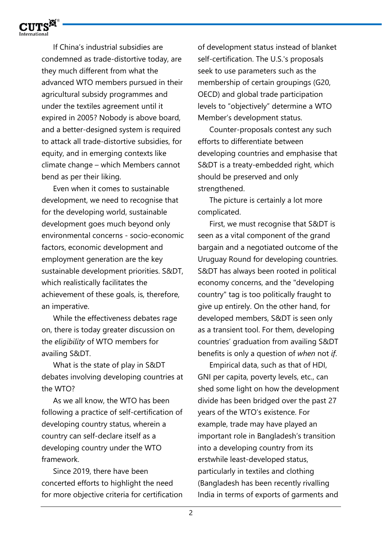

If China's industrial subsidies are condemned as trade-distortive today, are they much different from what the advanced WTO members pursued in their agricultural subsidy programmes and under the textiles agreement until it expired in 2005? Nobody is above board, and a better-designed system is required to attack all trade-distortive subsidies, for equity, and in emerging contexts like climate change – which Members cannot bend as per their liking.

Even when it comes to sustainable development, we need to recognise that for the developing world, sustainable development goes much beyond only environmental concerns - socio-economic factors, economic development and employment generation are the key sustainable development priorities. S&DT, which realistically facilitates the achievement of these goals, is, therefore, an imperative.

While the effectiveness debates rage on, there is today greater discussion on the *eligibility* of WTO members for availing S&DT.

What is the state of play in S&DT debates involving developing countries at the WTO?

As we all know, the WTO has been following a practice of self-certification of developing country status, wherein a country can self-declare itself as a developing country under the WTO framework.

Since 2019, there have been concerted efforts to highlight the need for more objective criteria for certification of development status instead of blanket self-certification. The U.S.'s proposals seek to use parameters such as the membership of certain groupings (G20, OECD) and global trade participation levels to "objectively" determine a WTO Member's development status.

Counter-proposals contest any such efforts to differentiate between developing countries and emphasise that S&DT is a treaty-embedded right, which should be preserved and only strengthened.

The picture is certainly a lot more complicated.

First, we must recognise that S&DT is seen as a vital component of the grand bargain and a negotiated outcome of the Uruguay Round for developing countries. S&DT has always been rooted in political economy concerns, and the "developing country" tag is too politically fraught to give up entirely. On the other hand, for developed members, S&DT is seen only as a transient tool. For them, developing countries' graduation from availing S&DT benefits is only a question of *when* not *if*.

Empirical data, such as that of HDI, GNI per capita, poverty levels, etc., can shed some light on how the development divide has been bridged over the past 27 years of the WTO's existence. For example, trade may have played an important role in Bangladesh's transition into a developing country from its erstwhile least-developed status, particularly in textiles and clothing (Bangladesh has been recently rivalling India in terms of exports of garments and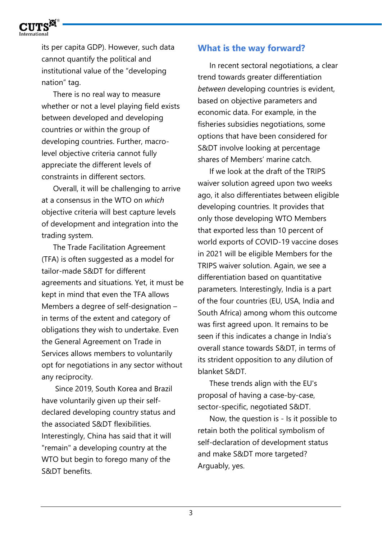

its per capita GDP). However, such data cannot quantify the political and institutional value of the "developing nation" tag.

There is no real way to measure whether or not a level playing field exists between developed and developing countries or within the group of developing countries. Further, macrolevel objective criteria cannot fully appreciate the different levels of constraints in different sectors.

Overall, it will be challenging to arrive at a consensus in the WTO on *which* objective criteria will best capture levels of development and integration into the trading system.

The Trade Facilitation Agreement (TFA) is often suggested as a model for tailor-made S&DT for different agreements and situations. Yet, it must be kept in mind that even the TFA allows Members a degree of self-designation – in terms of the extent and category of obligations they wish to undertake. Even the General Agreement on Trade in Services allows members to voluntarily opt for negotiations in any sector without any reciprocity.

Since 2019, South Korea and Brazil have voluntarily given up their selfdeclared developing country status and the associated S&DT flexibilities. Interestingly, China has said that it will "remain" a developing country at the WTO but begin to forego many of the S&DT benefits.

## **What is the way forward?**

In recent sectoral negotiations, a clear trend towards greater differentiation *between* developing countries is evident, based on objective parameters and economic data. For example, in the fisheries subsidies negotiations, some options that have been considered for S&DT involve looking at percentage shares of Members' marine catch.

If we look at the draft of the TRIPS waiver solution agreed upon two weeks ago, it also differentiates between eligible developing countries. It provides that only those developing WTO Members that exported less than 10 percent of world exports of COVID-19 vaccine doses in 2021 will be eligible Members for the TRIPS waiver solution. Again, we see a differentiation based on quantitative parameters. Interestingly, India is a part of the four countries (EU, USA, India and South Africa) among whom this outcome was first agreed upon. It remains to be seen if this indicates a change in India's overall stance towards S&DT, in terms of its strident opposition to any dilution of blanket S&DT.

These trends align with the EU's proposal of having a case-by-case, sector-specific, negotiated S&DT.

Now, the question is - Is it possible to retain both the political symbolism of self-declaration of development status and make S&DT more targeted? Arguably, yes.